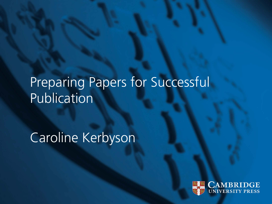### Preparing Papers for Successful Publication

Caroline Kerbyson

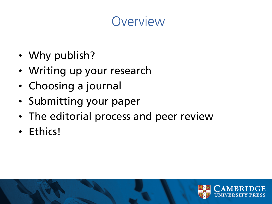#### **Overview**

- Why publish?
- Writing up your research
- Choosing a journal
- Submitting your paper
- The editorial process and peer review
- Ethics!

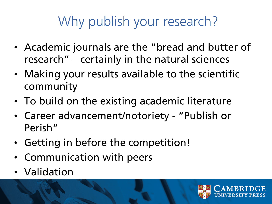# Why publish your research?

- Academic journals are the "bread and butter of research" – certainly in the natural sciences
- Making your results available to the scientific community
- To build on the existing academic literature
- Career advancement/notoriety "Publish or Perish"
- Getting in before the competition!
- Communication with peers
- Validation

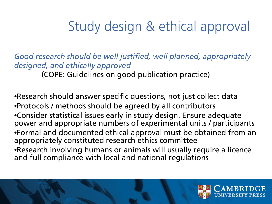## Study design & ethical approval

*Good research should be well justified, well planned, appropriately designed, and ethically approved*

(COPE: Guidelines on good publication practice)

•Research should answer specific questions, not just collect data •Protocols / methods should be agreed by all contributors •Consider statistical issues early in study design. Ensure adequate power and appropriate numbers of experimental units / participants •Formal and documented ethical approval must be obtained from an appropriately constituted research ethics committee •Research involving humans or animals will usually require a licence and full compliance with local and national regulations

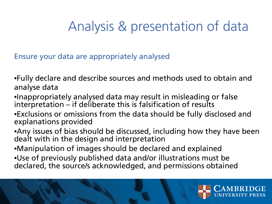## Analysis & presentation of data

Ensure your data are appropriately analysed

- •Fully declare and describe sources and methods used to obtain and analyse data
- •Inappropriately analysed data may result in misleading or false interpretation – if deliberate this is falsification of results
- •Exclusions or omissions from the data should be fully disclosed and explanations provided
- •Any issues of bias should be discussed, including how they have been dealt with in the design and interpretation
- •Manipulation of images should be declared and explained
- •Use of previously published data and/or illustrations must be declared, the source/s acknowledged, and permissions obtained

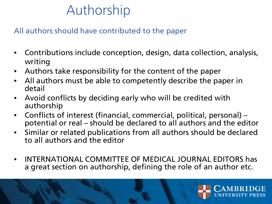#### Authorship

All authors should have contributed to the paper

- Contributions include conception, design, data collection, analysis, writing
- Authors take responsibility for the content of the paper
- All authors must be able to competently describe the paper in detail
- Avoid conflicts by deciding early who will be credited with authorship
- Conflicts of interest (financial, commercial, political, personal) potential or real – should be declared to all authors and the editor
- Similar or related publications from all authors should be declared to all authors and the editor
- INTERNATIONAL COMMITTEE OF MEDICAL JOURNAL EDITORS has a great section on authorship, defining the role of an author etc.

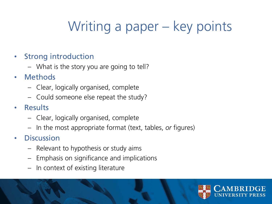# Writing a paper – key points

#### **Strong introduction**

- What is the story you are going to tell?
- **Methods** 
	- Clear, logically organised, complete
	- Could someone else repeat the study?
- **Results** 
	- Clear, logically organised, complete
	- In the most appropriate format (text, tables, *or* figures)
- **Discussion** 
	- Relevant to hypothesis or study aims
	- Emphasis on significance and implications
	- In context of existing literature

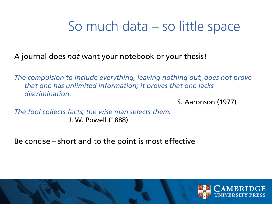#### So much data – so little space

A journal does *not* want your notebook or your thesis!

*The compulsion to include everything, leaving nothing out, does not prove that one has unlimited information; it proves that one lacks discrimination.*

S. Aaronson (1977)

*The fool collects facts; the wise man selects them.* J. W. Powell (1888)

Be concise – short and to the point is most effective

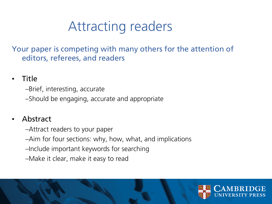#### Attracting readers

Your paper is competing with many others for the attention of editors, referees, and readers

#### • Title

–Brief, interesting, accurate

–Should be engaging, accurate and appropriate

#### • Abstract

–Attract readers to your paper

–Aim for four sections: why, how, what, and implications

- –Include important keywords for searching
- –Make it clear, make it easy to read

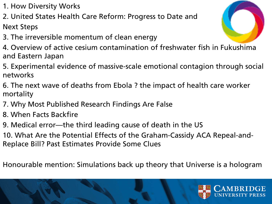- 1. How Diversity Works
- 2. United States Health Care Reform: Progress to Date and Next Steps
- 3. The irreversible momentum of clean energy
- 4. Overview of active cesium contamination of freshwater fish in Fukushima and Eastern Japan
- 5. Experimental evidence of massive-scale emotional contagion through social networks
- 6. The next wave of deaths from Ebola ? the impact of health care worker mortality
- 7. Why Most Published Research Findings Are False
- 8. When Facts Backfire
- 9. Medical error—the third leading cause of death in the US
- 10. What Are the Potential Effects of the Graham-Cassidy ACA Repeal-and-Replace Bill? Past Estimates Provide Some Clues

Honourable mention: Simulations back up theory that Universe is a hologram



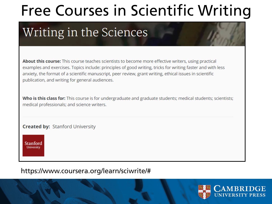# Free Courses in Scientific Writing

#### Writing in the Sciences

About this course: This course teaches scientists to become more effective writers, using practical examples and exercises. Topics include: principles of good writing, tricks for writing faster and with less anxiety, the format of a scientific manuscript, peer review, grant writing, ethical issues in scientific publication, and writing for general audiences.

Who is this class for: This course is for undergraduate and graduate students; medical students; scientists; medical professionals; and science writers.

**Created by: Stanford University** 

Stanford **University** 

#### https://www.coursera.org/learn/sciwrite/#

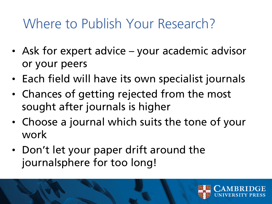## Where to Publish Your Research?

- Ask for expert advice your academic advisor or your peers
- Each field will have its own specialist journals
- Chances of getting rejected from the most sought after journals is higher
- Choose a journal which suits the tone of your work
- Don't let your paper drift around the journalsphere for too long!

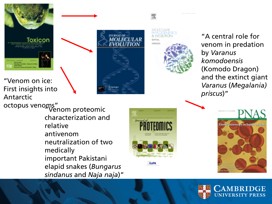

"Venom on ice:

Antarctic

First insights into





"A central role for venom in predation by *Varanus komodoensis* (Komodo Dragon) and the extinct giant *Varanus* (*Megalania) priscus*)"

octopus venoms"<br>Venom proteomic characterization and relative antivenom neutralization of two medically important Pakistani elapid snakes (*Bungarus sindanus* and *Naja naja*)"





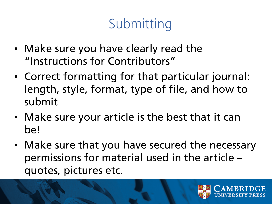# **Submitting**

- Make sure you have clearly read the "Instructions for Contributors"
- Correct formatting for that particular journal: length, style, format, type of file, and how to submit
- Make sure your article is the best that it can be!
- Make sure that you have secured the necessary permissions for material used in the article – quotes, pictures etc.

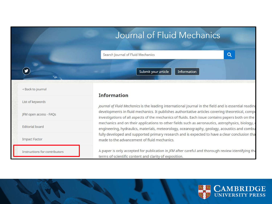|   | Journal of Fluid Mechanics         |          |  |
|---|------------------------------------|----------|--|
|   | Search Journal of Fluid Mechanics  | $\alpha$ |  |
| y | Submit your article<br>Information |          |  |

**Information** 

< Back to journal

List of keywords

**Editorial board** 

**Impact Factor** 

JFM open access - FAQs

Instructions for contributors

Journal of Fluid Mechanics is the leading international journal in the field and is essential reading developments in fluid mechanics. It publishes authoritative articles covering theoretical, compu investigations of all aspects of the mechanics of fluids. Each issue contains papers both on the mechanics and on their applications to other fields such as aeronautics, astrophysics, biology, o engineering, hydraulics, materials, meteorology, oceanography, geology, acoustics and combu fully developed and supported primary research and is expected to have a clear conclusion tha made to the advancement of fluid mechanics.

A paper is only accepted for publication in JFM after careful and thorough review identifying that terms of scientific content and clarity of exposition.

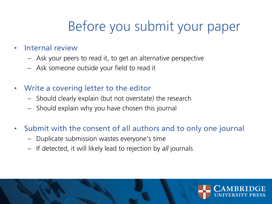## Before you submit your paper

#### Internal review

- Ask your peers to read it, to get an alternative perspective
- Ask someone outside your field to read it
- Write a covering letter to the editor
	- Should clearly explain (but not overstate) the research
	- Should explain why you have chosen this journal
- Submit with the consent of all authors and to only one journal
	- Duplicate submission wastes everyone's time
	- If detected, it will likely lead to rejection by *all* journals

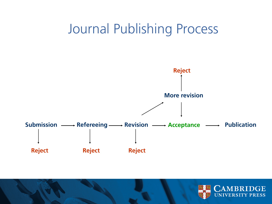#### Journal Publishing Process



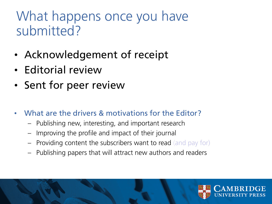#### What happens once you have submitted?

- Acknowledgement of receipt
- Editorial review
- Sent for peer review
- What are the drivers & motivations for the Editor?
	- Publishing new, interesting, and important research
	- Improving the profile and impact of their journal
	- Providing content the subscribers want to read (and pay for)
	- Publishing papers that will attract new authors and readers

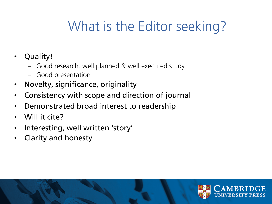# What is the Editor seeking?

- Quality!
	- Good research: well planned & well executed study
	- Good presentation
- Novelty, significance, originality
- Consistency with scope and direction of journal
- Demonstrated broad interest to readership
- Will it cite?
- Interesting, well written 'story'
- Clarity and honesty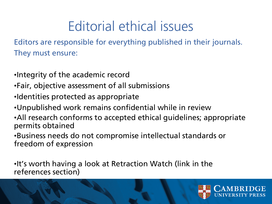## Editorial ethical issues

Editors are responsible for everything published in their journals. They must ensure:

- •Integrity of the academic record
- •Fair, objective assessment of all submissions
- •Identities protected as appropriate
- •Unpublished work remains confidential while in review
- •All research conforms to accepted ethical guidelines; appropriate permits obtained

•Business needs do not compromise intellectual standards or freedom of expression

•It's worth having a look at Retraction Watch (link in the references section)

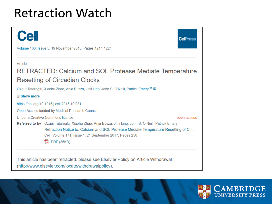#### Retraction Watch



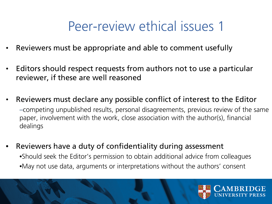#### Peer-review ethical issues 1

- Reviewers must be appropriate and able to comment usefully
- Editors should respect requests from authors not to use a particular reviewer, if these are well reasoned
- Reviewers must declare any possible conflict of interest to the Editor –competing unpublished results, personal disagreements, previous review of the same paper, involvement with the work, close association with the author(s), financial dealings
- Reviewers have a duty of confidentiality during assessment
	- •Should seek the Editor's permission to obtain additional advice from colleagues •May not use data, arguments or interpretations without the authors' consent

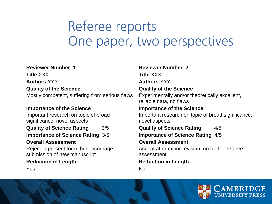### Referee reports One paper, two perspectives

**Title** XXX **Title** XXX **Authors** YYY **Authors** YYY **Quality of the Science Quality of the Science**

Important research on topic of broad significance; novel aspects

Reject in present form, but encourage submission of new manuscript

Yes No

**Reviewer Number 1 Reviewer Number 2** Mostly competent, suffering from serious flaws Experimentally and/or theoretically excellent, reliable data, no flaws **Importance of the Science Importance of the Science** Important research on topic of broad significance; novel aspects **Quality of Science Rating** 3/5 **Quality of Science Rating** 4/5 **Importance of Science Rating** 3/5 **Importance of Science Rating** 4/5 **Overall Assessment Overall Assessment** Accept after minor revision; no further referee assessment **Reduction in Length Reduction in Length**

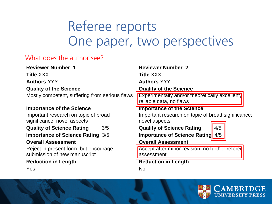### Referee reports One paper, two perspectives

#### What does the author see?

| <b>Reviewer Number 1</b><br><b>Title XXX</b>                          | <b>Reviewer Number 2</b><br><b>Title XXX</b>                                     |  |
|-----------------------------------------------------------------------|----------------------------------------------------------------------------------|--|
| <b>Authors YYY</b>                                                    | <b>Authors YYY</b>                                                               |  |
| <b>Quality of the Science</b>                                         | <b>Quality of the Science</b>                                                    |  |
| Mostly competent, suffering from serious flaws                        | <b>Experimentally and/or theoretically excellent,</b><br>reliable data, no flaws |  |
| <b>Importance of the Science</b>                                      | <b>Importance of the Science</b>                                                 |  |
| Important research on topic of broad<br>significance; novel aspects   | Important research on topic of broad significance;<br>novel aspects              |  |
| <b>Quality of Science Rating</b><br>3/5                               | 4/5<br><b>Quality of Science Rating</b>                                          |  |
| <b>Importance of Science Rating 3/5</b>                               | <b>Importance of Science Rating</b><br>4/5                                       |  |
| <b>Overall Assessment</b>                                             | <b>Overall Assessment</b>                                                        |  |
| Reject in present form, but encourage<br>submission of new manuscript | Accept after minor revision; no further refered<br>assessment                    |  |
| <b>Reduction in Length</b>                                            | <b>Reduction in Length</b>                                                       |  |
| Yes                                                                   | No                                                                               |  |

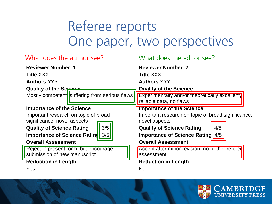### Referee reports One paper, two perspectives

| What does the author see?                                             | What does the editor see?                                                        |
|-----------------------------------------------------------------------|----------------------------------------------------------------------------------|
| <b>Reviewer Number 1</b>                                              | <b>Reviewer Number 2</b>                                                         |
| <b>Title XXX</b>                                                      | Title XXX                                                                        |
| <b>Authors YYY</b>                                                    | <b>Authors YYY</b>                                                               |
| <b>Quality of the Scinnal</b>                                         | <b>Quality of the Science</b>                                                    |
| Mostly competent suffering from serious flaws                         | <b>Experimentally and/or theoretically excellent,</b><br>reliable data, no flaws |
| <b>Importance of the Science</b>                                      | <b>Importance of the Science</b>                                                 |
| Important research on topic of broad                                  | Important research on topic of broad significance;                               |
| significance; novel aspects                                           | novel aspects                                                                    |
| 3/5<br><b>Quality of Science Rating</b>                               | 4/5<br><b>Quality of Science Rating</b>                                          |
| 3/5<br><b>Importance of Science Rating</b>                            | <b>Importance of Science Rating 4/5</b>                                          |
| <b>Overall Assessment</b>                                             | <b>Overall Assessment</b>                                                        |
| Reject in present form, but encourage<br>submission of new manuscript | Accept after minor revision; no further refered<br>assessment                    |
| <b>Reduction in Length</b>                                            | <b>Reduction in Length</b>                                                       |
| Yes                                                                   | <b>No</b>                                                                        |

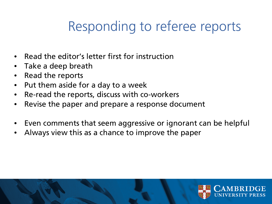## Responding to referee reports

- Read the editor's letter first for instruction
- Take a deep breath
- Read the reports
- Put them aside for a day to a week
- Re-read the reports, discuss with co-workers
- Revise the paper and prepare a response document
- Even comments that seem aggressive or ignorant can be helpful
- Always view this as a chance to improve the paper

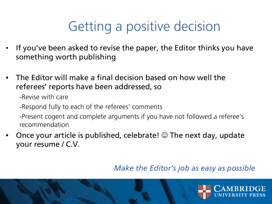## Getting a positive decision

- If you've been asked to revise the paper, the Editor thinks you have something worth publishing
- The Editor will make a final decision based on how well the referees' reports have been addressed, so

-Revise with care

-Respond fully to each of the referees' comments

-Present cogent and complete arguments if you have not followed a referee's recommendation

Once your article is published, celebrate!  $\odot$  The next day, update your resume / C.V.

*Make the Editor's job as easy as possible*

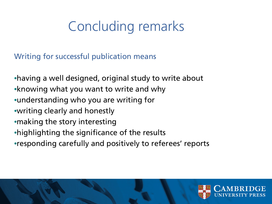## Concluding remarks

Writing for successful publication means

•having a well designed, original study to write about •knowing what you want to write and why •understanding who you are writing for •writing clearly and honestly •making the story interesting •highlighting the significance of the results •responding carefully and positively to referees' reports